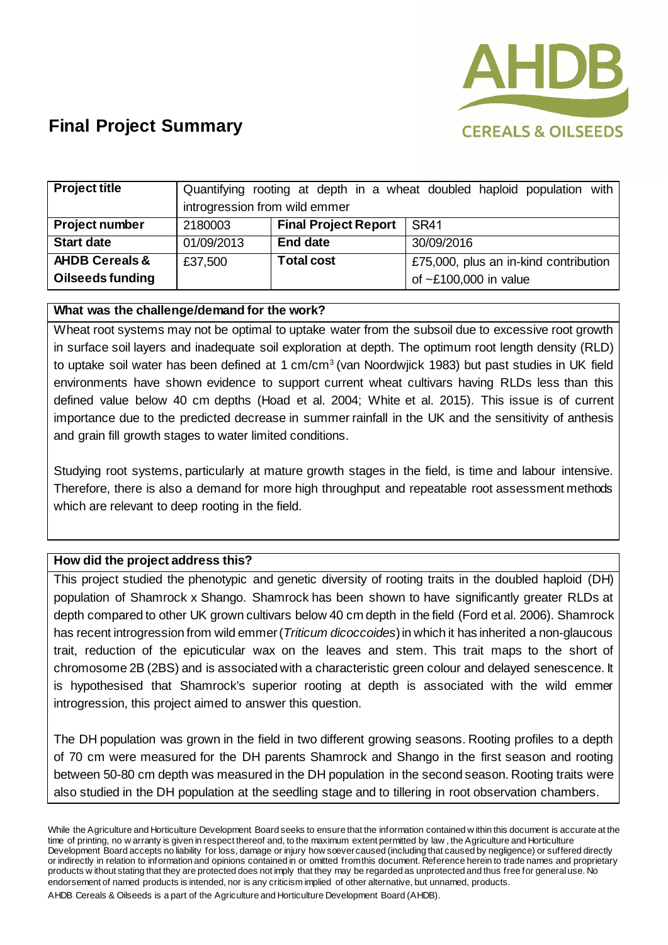

| <b>Project title</b>      | Quantifying rooting at depth in a wheat doubled haploid population with |                             |                                       |
|---------------------------|-------------------------------------------------------------------------|-----------------------------|---------------------------------------|
|                           | introgression from wild emmer                                           |                             |                                       |
| Project number            | 2180003                                                                 | <b>Final Project Report</b> | <b>SR41</b>                           |
| <b>Start date</b>         | 01/09/2013                                                              | <b>End date</b>             | 30/09/2016                            |
| <b>AHDB Cereals &amp;</b> | £37,500                                                                 | <b>Total cost</b>           | £75,000, plus an in-kind contribution |
| Oilseeds funding          |                                                                         |                             | of $\sim$ £100,000 in value           |

### **What was the challenge/demand for the work?**

Wheat root systems may not be optimal to uptake water from the subsoil due to excessive root growth in surface soil layers and inadequate soil exploration at depth. The optimum root length density (RLD) to uptake soil water has been defined at 1 cm/cm<sup>3</sup> (van Noordwjick 1983) but past studies in UK field environments have shown evidence to support current wheat cultivars having RLDs less than this defined value below 40 cm depths (Hoad et al. 2004; White et al. 2015). This issue is of current importance due to the predicted decrease in summer rainfall in the UK and the sensitivity of anthesis and grain fill growth stages to water limited conditions.

Studying root systems, particularly at mature growth stages in the field, is time and labour intensive. Therefore, there is also a demand for more high throughput and repeatable root assessment methods which are relevant to deep rooting in the field.

#### **How did the project address this?**

This project studied the phenotypic and genetic diversity of rooting traits in the doubled haploid (DH) population of Shamrock x Shango. Shamrock has been shown to have significantly greater RLDs at depth compared to other UK grown cultivars below 40 cm depth in the field (Ford et al. 2006). Shamrock has recent introgression from wild emmer (*Triticum dicoccoides*) in which it has inherited a non-glaucous trait, reduction of the epicuticular wax on the leaves and stem. This trait maps to the short of chromosome 2B (2BS) and is associated with a characteristic green colour and delayed senescence. It is hypothesised that Shamrock's superior rooting at depth is associated with the wild emmer introgression, this project aimed to answer this question.

The DH population was grown in the field in two different growing seasons. Rooting profiles to a depth of 70 cm were measured for the DH parents Shamrock and Shango in the first season and rooting between 50-80 cm depth was measured in the DH population in the second season. Rooting traits were also studied in the DH population at the seedling stage and to tillering in root observation chambers.

While the Agriculture and Horticulture Development Board seeks to ensure that the information contained w ithin this document is accurate at the time of printing, no w arranty is given in respect thereof and, to the maximum extent permitted by law , the Agriculture and Horticulture Development Board accepts no liability for loss, damage or injury how soever caused (including that caused by negligence) or suffered directly or indirectly in relation to information and opinions contained in or omitted from this document. Reference herein to trade names and proprietary products w ithout stating that they are protected does not imply that they may be regarded as unprotected and thus free for general use. No endorsement of named products is intended, nor is any criticism implied of other alternative, but unnamed, products.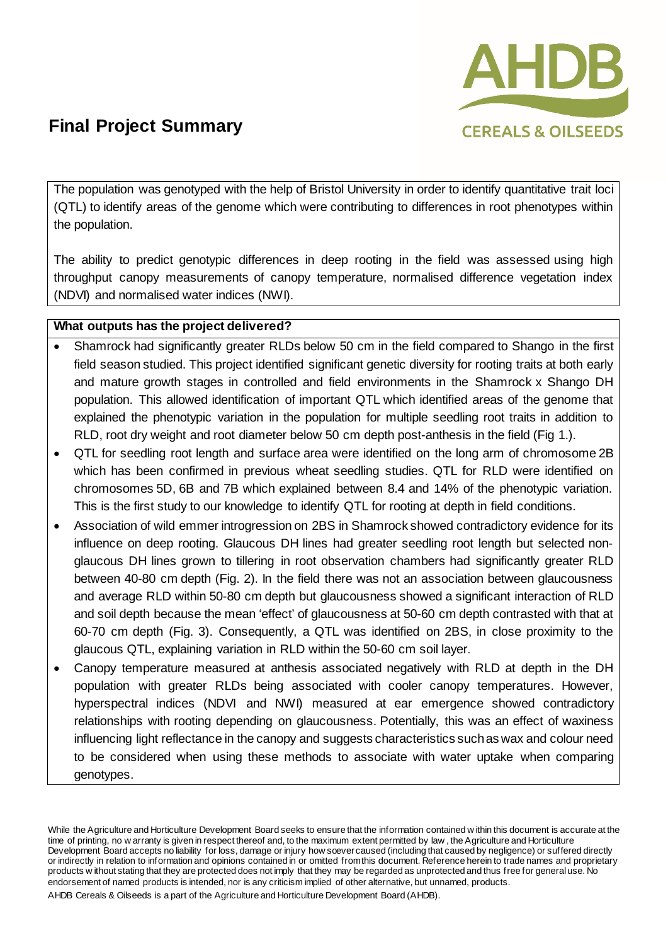

The population was genotyped with the help of Bristol University in order to identify quantitative trait loci (QTL) to identify areas of the genome which were contributing to differences in root phenotypes within the population.

The ability to predict genotypic differences in deep rooting in the field was assessed using high throughput canopy measurements of canopy temperature, normalised difference vegetation index (NDVI) and normalised water indices (NWI).

### **What outputs has the project delivered?**

- Shamrock had significantly greater RLDs below 50 cm in the field compared to Shango in the first field season studied. This project identified significant genetic diversity for rooting traits at both early and mature growth stages in controlled and field environments in the Shamrock x Shango DH population. This allowed identification of important QTL which identified areas of the genome that explained the phenotypic variation in the population for multiple seedling root traits in addition to RLD, root dry weight and root diameter below 50 cm depth post-anthesis in the field (Fig 1.).
- QTL for seedling root length and surface area were identified on the long arm of chromosome 2B which has been confirmed in previous wheat seedling studies. QTL for RLD were identified on chromosomes 5D, 6B and 7B which explained between 8.4 and 14% of the phenotypic variation. This is the first study to our knowledge to identify QTL for rooting at depth in field conditions.
- Association of wild emmer introgression on 2BS in Shamrock showed contradictory evidence for its influence on deep rooting. Glaucous DH lines had greater seedling root length but selected nonglaucous DH lines grown to tillering in root observation chambers had significantly greater RLD between 40-80 cm depth (Fig. 2). In the field there was not an association between glaucousness and average RLD within 50-80 cm depth but glaucousness showed a significant interaction of RLD and soil depth because the mean 'effect' of glaucousness at 50-60 cm depth contrasted with that at 60-70 cm depth (Fig. 3). Consequently, a QTL was identified on 2BS, in close proximity to the glaucous QTL, explaining variation in RLD within the 50-60 cm soil layer.
- Canopy temperature measured at anthesis associated negatively with RLD at depth in the DH population with greater RLDs being associated with cooler canopy temperatures. However, hyperspectral indices (NDVI and NWI) measured at ear emergence showed contradictory relationships with rooting depending on glaucousness. Potentially, this was an effect of waxiness influencing light reflectance in the canopy and suggests characteristics such as wax and colour need to be considered when using these methods to associate with water uptake when comparing genotypes.

While the Agriculture and Horticulture Development Board seeks to ensure that the information contained w ithin this document is accurate at the time of printing, no w arranty is given in respect thereof and, to the maximum extent permitted by law , the Agriculture and Horticulture Development Board accepts no liability for loss, damage or injury how soever caused (including that caused by negligence) or suffered directly or indirectly in relation to information and opinions contained in or omitted from this document. Reference herein to trade names and proprietary products w ithout stating that they are protected does not imply that they may be regarded as unprotected and thus free for general use. No endorsement of named products is intended, nor is any criticism implied of other alternative, but unnamed, products.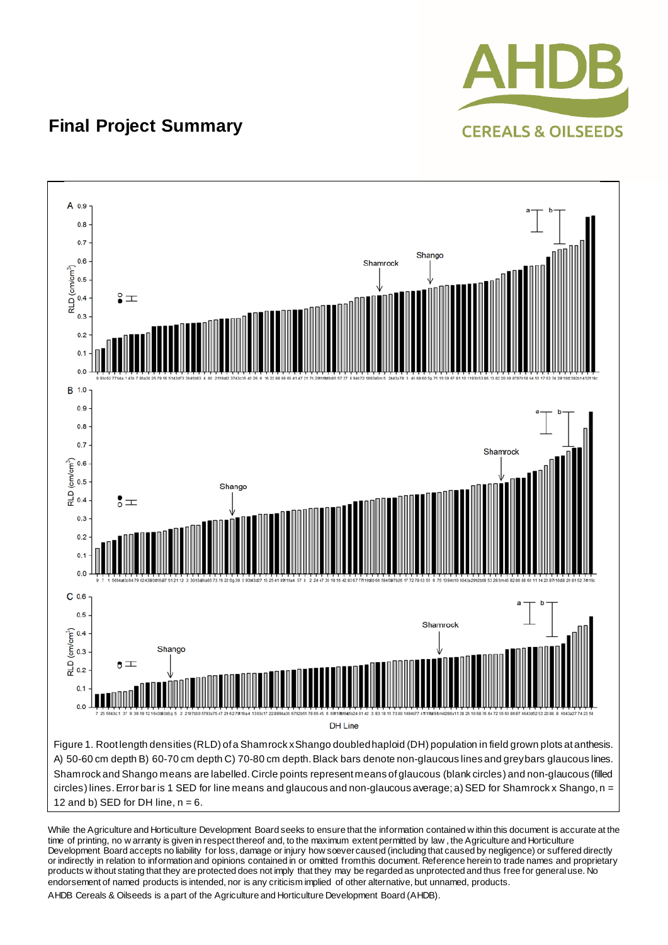



While the Agriculture and Horticulture Development Board seeks to ensure that the information contained w ithin this document is accurate at the time of printing, no w arranty is given in respect thereof and, to the maximum extent permitted by law , the Agriculture and Horticulture Development Board accepts no liability for loss, damage or injury how soever caused (including that caused by negligence) or suffered directly or indirectly in relation to information and opinions contained in or omitted from this document. Reference herein to trade names and proprietary products w ithout stating that they are protected does not imply that they may be regarded as unprotected and thus free for general use. No endorsement of named products is intended, nor is any criticism implied of other alternative, but unnamed, products.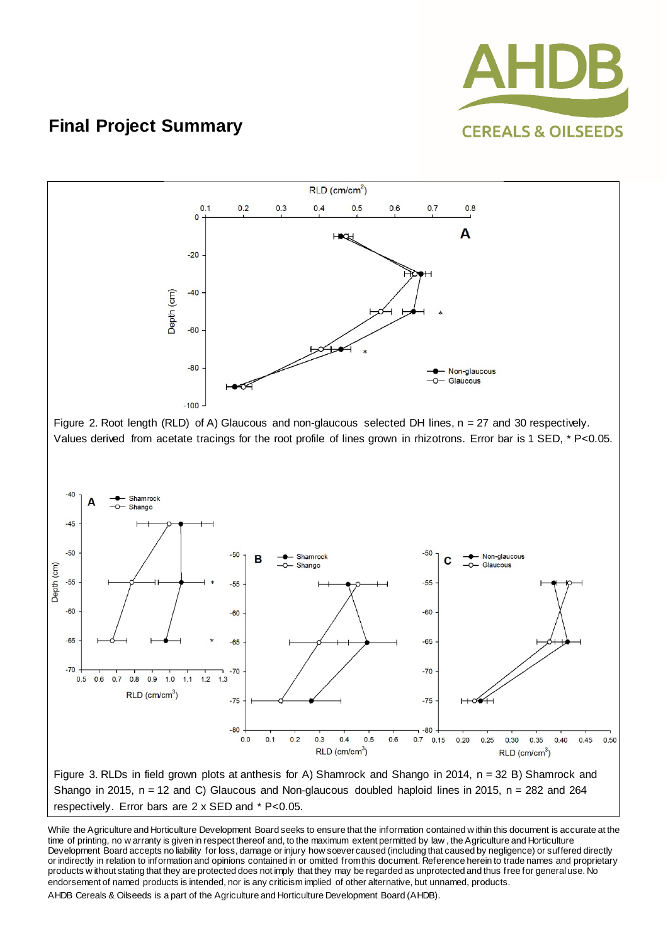



While the Agriculture and Horticulture Development Board seeks to ensure that the information contained w ithin this document is accurate at the time of printing, no w arranty is given in respect thereof and, to the maximum extent permitted by law , the Agriculture and Horticulture Development Board accepts no liability for loss, damage or injury how soever caused (including that caused by negligence) or suffered directly or indirectly in relation to information and opinions contained in or omitted from this document. Reference herein to trade names and proprietary products w ithout stating that they are protected does not imply that they may be regarded as unprotected and thus free for general use. No endorsement of named products is intended, nor is any criticism implied of other alternative, but unnamed, products.